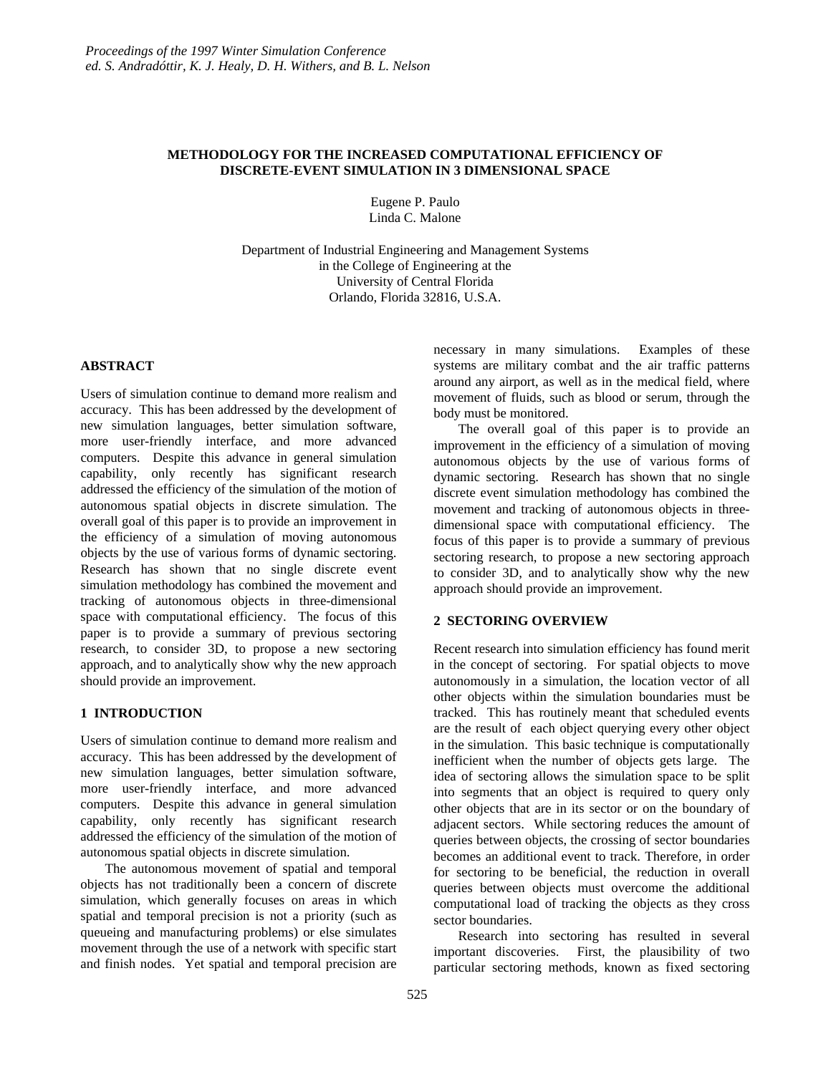## **METHODOLOGY FOR THE INCREASED COMPUTATIONAL EFFICIENCY OF DISCRETE-EVENT SIMULATION IN 3 DIMENSIONAL SPACE**

Eugene P. Paulo Linda C. Malone

Department of Industrial Engineering and Management Systems in the College of Engineering at the University of Central Florida Orlando, Florida 32816, U.S.A.

# **ABSTRACT**

Users of simulation continue to demand more realism and accuracy. This has been addressed by the development of new simulation languages, better simulation software, more user-friendly interface, and more advanced computers. Despite this advance in general simulation capability, only recently has significant research addressed the efficiency of the simulation of the motion of autonomous spatial objects in discrete simulation. The overall goal of this paper is to provide an improvement in the efficiency of a simulation of moving autonomous objects by the use of various forms of dynamic sectoring. Research has shown that no single discrete event simulation methodology has combined the movement and tracking of autonomous objects in three-dimensional space with computational efficiency. The focus of this paper is to provide a summary of previous sectoring research, to consider 3D, to propose a new sectoring approach, and to analytically show why the new approach should provide an improvement.

### **1 INTRODUCTION**

Users of simulation continue to demand more realism and accuracy. This has been addressed by the development of new simulation languages, better simulation software, more user-friendly interface, and more advanced computers. Despite this advance in general simulation capability, only recently has significant research addressed the efficiency of the simulation of the motion of autonomous spatial objects in discrete simulation.

The autonomous movement of spatial and temporal objects has not traditionally been a concern of discrete simulation, which generally focuses on areas in which spatial and temporal precision is not a priority (such as queueing and manufacturing problems) or else simulates movement through the use of a network with specific start and finish nodes. Yet spatial and temporal precision are necessary in many simulations. Examples of these systems are military combat and the air traffic patterns around any airport, as well as in the medical field, where movement of fluids, such as blood or serum, through the body must be monitored.

The overall goal of this paper is to provide an improvement in the efficiency of a simulation of moving autonomous objects by the use of various forms of dynamic sectoring. Research has shown that no single discrete event simulation methodology has combined the movement and tracking of autonomous objects in threedimensional space with computational efficiency. The focus of this paper is to provide a summary of previous sectoring research, to propose a new sectoring approach to consider 3D, and to analytically show why the new approach should provide an improvement.

### **2 SECTORING OVERVIEW**

Recent research into simulation efficiency has found merit in the concept of sectoring. For spatial objects to move autonomously in a simulation, the location vector of all other objects within the simulation boundaries must be tracked. This has routinely meant that scheduled events are the result of each object querying every other object in the simulation. This basic technique is computationally inefficient when the number of objects gets large. The idea of sectoring allows the simulation space to be split into segments that an object is required to query only other objects that are in its sector or on the boundary of adjacent sectors. While sectoring reduces the amount of queries between objects, the crossing of sector boundaries becomes an additional event to track. Therefore, in order for sectoring to be beneficial, the reduction in overall queries between objects must overcome the additional computational load of tracking the objects as they cross sector boundaries.

Research into sectoring has resulted in several important discoveries. First, the plausibility of two particular sectoring methods, known as fixed sectoring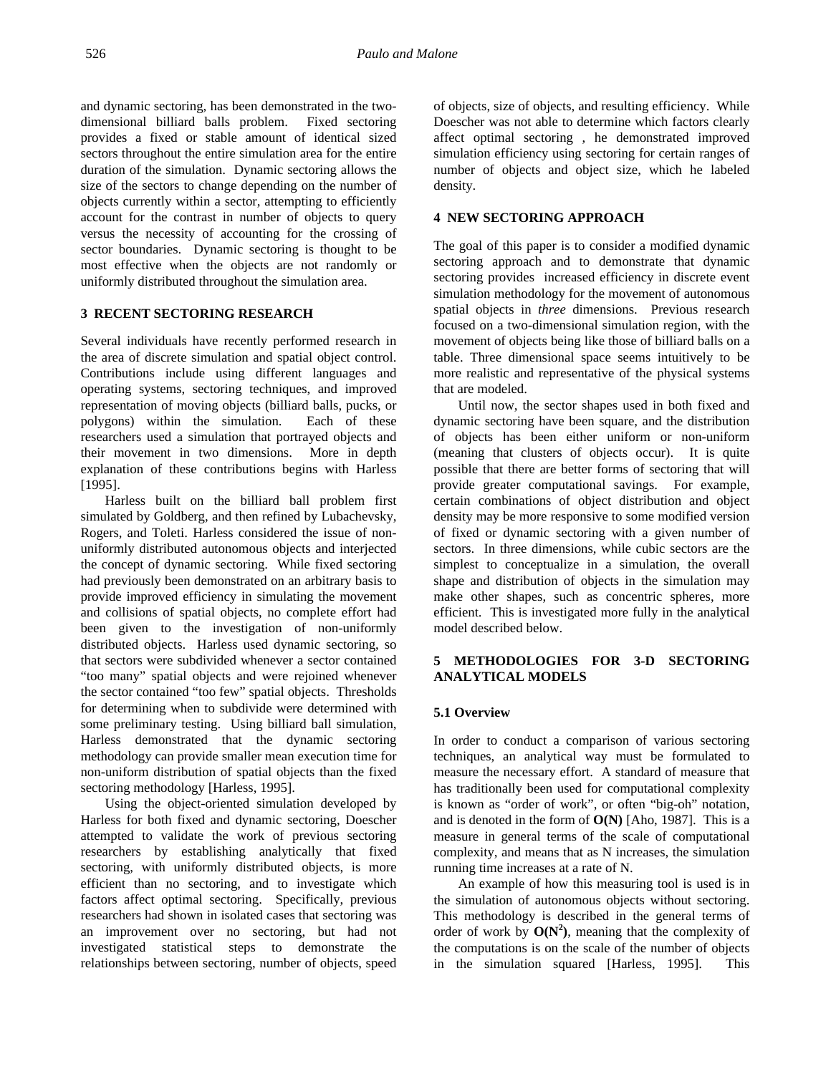and dynamic sectoring, has been demonstrated in the twodimensional billiard balls problem. Fixed sectoring provides a fixed or stable amount of identical sized sectors throughout the entire simulation area for the entire duration of the simulation. Dynamic sectoring allows the size of the sectors to change depending on the number of objects currently within a sector, attempting to efficiently account for the contrast in number of objects to query versus the necessity of accounting for the crossing of sector boundaries. Dynamic sectoring is thought to be most effective when the objects are not randomly or uniformly distributed throughout the simulation area.

## **3 RECENT SECTORING RESEARCH**

Several individuals have recently performed research in the area of discrete simulation and spatial object control. Contributions include using different languages and operating systems, sectoring techniques, and improved representation of moving objects (billiard balls, pucks, or polygons) within the simulation. Each of these researchers used a simulation that portrayed objects and their movement in two dimensions. More in depth explanation of these contributions begins with Harless [1995].

Harless built on the billiard ball problem first simulated by Goldberg, and then refined by Lubachevsky, Rogers, and Toleti. Harless considered the issue of nonuniformly distributed autonomous objects and interjected the concept of dynamic sectoring. While fixed sectoring had previously been demonstrated on an arbitrary basis to provide improved efficiency in simulating the movement and collisions of spatial objects, no complete effort had been given to the investigation of non-uniformly distributed objects. Harless used dynamic sectoring, so that sectors were subdivided whenever a sector contained "too many" spatial objects and were rejoined whenever the sector contained "too few" spatial objects. Thresholds for determining when to subdivide were determined with some preliminary testing. Using billiard ball simulation, Harless demonstrated that the dynamic sectoring methodology can provide smaller mean execution time for non-uniform distribution of spatial objects than the fixed sectoring methodology [Harless, 1995].

Using the object-oriented simulation developed by Harless for both fixed and dynamic sectoring, Doescher attempted to validate the work of previous sectoring researchers by establishing analytically that fixed sectoring, with uniformly distributed objects, is more efficient than no sectoring, and to investigate which factors affect optimal sectoring. Specifically, previous researchers had shown in isolated cases that sectoring was an improvement over no sectoring, but had not investigated statistical steps to demonstrate the relationships between sectoring, number of objects, speed

of objects, size of objects, and resulting efficiency. While Doescher was not able to determine which factors clearly affect optimal sectoring , he demonstrated improved simulation efficiency using sectoring for certain ranges of number of objects and object size, which he labeled density.

### **4 NEW SECTORING APPROACH**

The goal of this paper is to consider a modified dynamic sectoring approach and to demonstrate that dynamic sectoring provides increased efficiency in discrete event simulation methodology for the movement of autonomous spatial objects in *three* dimensions. Previous research focused on a two-dimensional simulation region, with the movement of objects being like those of billiard balls on a table. Three dimensional space seems intuitively to be more realistic and representative of the physical systems that are modeled.

Until now, the sector shapes used in both fixed and dynamic sectoring have been square, and the distribution of objects has been either uniform or non-uniform (meaning that clusters of objects occur). It is quite possible that there are better forms of sectoring that will provide greater computational savings. For example, certain combinations of object distribution and object density may be more responsive to some modified version of fixed or dynamic sectoring with a given number of sectors. In three dimensions, while cubic sectors are the simplest to conceptualize in a simulation, the overall shape and distribution of objects in the simulation may make other shapes, such as concentric spheres, more efficient. This is investigated more fully in the analytical model described below.

# **5 METHODOLOGIES FOR 3-D SECTORING ANALYTICAL MODELS**

#### **5.1 Overview**

In order to conduct a comparison of various sectoring techniques, an analytical way must be formulated to measure the necessary effort. A standard of measure that has traditionally been used for computational complexity is known as "order of work", or often "big-oh" notation, and is denoted in the form of **O(N)** [Aho, 1987]. This is a measure in general terms of the scale of computational complexity, and means that as N increases, the simulation running time increases at a rate of N.

An example of how this measuring tool is used is in the simulation of autonomous objects without sectoring. This methodology is described in the general terms of order of work by  $O(N^2)$ , meaning that the complexity of the computations is on the scale of the number of objects in the simulation squared [Harless, 1995]. This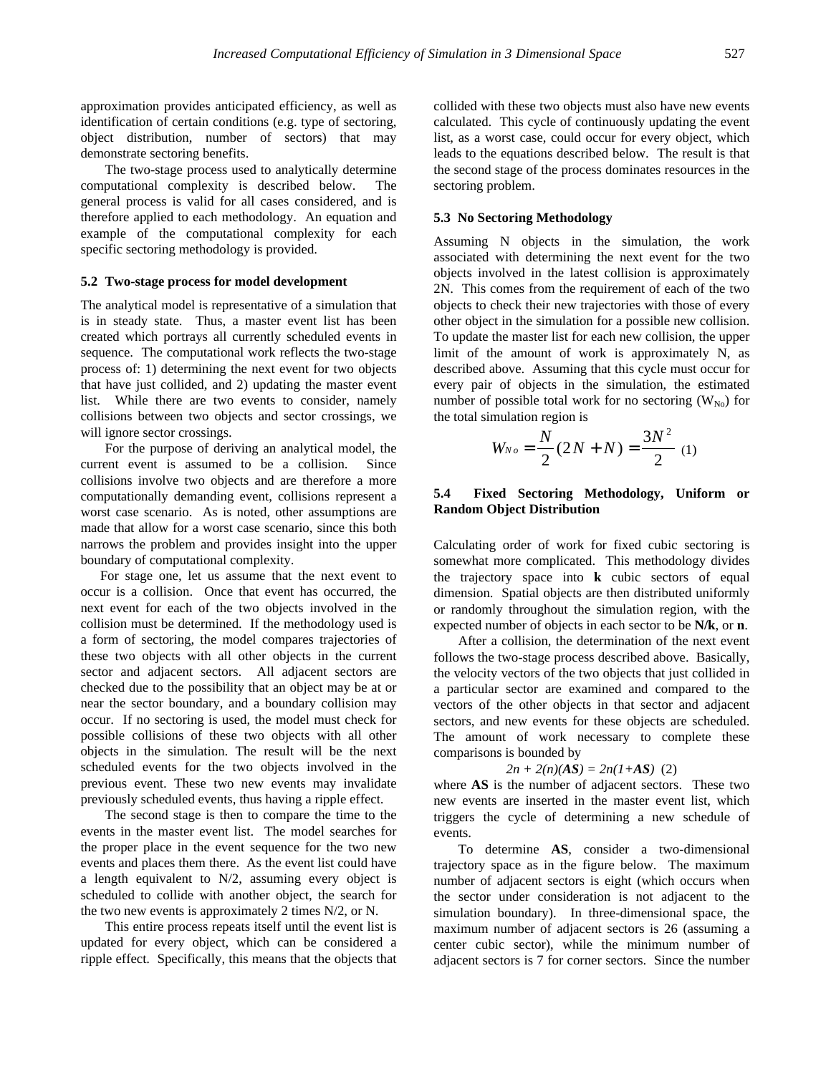approximation provides anticipated efficiency, as well as identification of certain conditions (e.g. type of sectoring, object distribution, number of sectors) that may demonstrate sectoring benefits.

The two-stage process used to analytically determine computational complexity is described below. The general process is valid for all cases considered, and is therefore applied to each methodology. An equation and example of the computational complexity for each specific sectoring methodology is provided.

# **5.2 Two-stage process for model development**

The analytical model is representative of a simulation that is in steady state. Thus, a master event list has been created which portrays all currently scheduled events in sequence. The computational work reflects the two-stage process of: 1) determining the next event for two objects that have just collided, and 2) updating the master event list. While there are two events to consider, namely collisions between two objects and sector crossings, we will ignore sector crossings.

For the purpose of deriving an analytical model, the current event is assumed to be a collision. Since collisions involve two objects and are therefore a more computationally demanding event, collisions represent a worst case scenario. As is noted, other assumptions are made that allow for a worst case scenario, since this both narrows the problem and provides insight into the upper boundary of computational complexity.

For stage one, let us assume that the next event to occur is a collision. Once that event has occurred, the next event for each of the two objects involved in the collision must be determined. If the methodology used is a form of sectoring, the model compares trajectories of these two objects with all other objects in the current sector and adjacent sectors. All adjacent sectors are checked due to the possibility that an object may be at or near the sector boundary, and a boundary collision may occur. If no sectoring is used, the model must check for possible collisions of these two objects with all other objects in the simulation. The result will be the next scheduled events for the two objects involved in the previous event. These two new events may invalidate previously scheduled events, thus having a ripple effect.

The second stage is then to compare the time to the events in the master event list. The model searches for the proper place in the event sequence for the two new events and places them there. As the event list could have a length equivalent to N/2, assuming every object is scheduled to collide with another object, the search for the two new events is approximately 2 times N/2, or N.

This entire process repeats itself until the event list is updated for every object, which can be considered a ripple effect. Specifically, this means that the objects that collided with these two objects must also have new events calculated. This cycle of continuously updating the event list, as a worst case, could occur for every object, which leads to the equations described below. The result is that the second stage of the process dominates resources in the sectoring problem.

#### **5.3 No Sectoring Methodology**

Assuming N objects in the simulation, the work associated with determining the next event for the two objects involved in the latest collision is approximately 2N. This comes from the requirement of each of the two objects to check their new trajectories with those of every other object in the simulation for a possible new collision. To update the master list for each new collision, the upper limit of the amount of work is approximately N, as described above. Assuming that this cycle must occur for every pair of objects in the simulation, the estimated number of possible total work for no sectoring  $(W_{N_0})$  for the total simulation region is

$$
W_{N_o} = \frac{N}{2}(2N + N) = \frac{3N^2}{2} (1)
$$

### **5.4 Fixed Sectoring Methodology, Uniform or Random Object Distribution**

Calculating order of work for fixed cubic sectoring is somewhat more complicated. This methodology divides the trajectory space into **k** cubic sectors of equal dimension. Spatial objects are then distributed uniformly or randomly throughout the simulation region, with the expected number of objects in each sector to be **N/k**, or **n**.

After a collision, the determination of the next event follows the two-stage process described above. Basically, the velocity vectors of the two objects that just collided in a particular sector are examined and compared to the vectors of the other objects in that sector and adjacent sectors, and new events for these objects are scheduled. The amount of work necessary to complete these comparisons is bounded by

$$
2n + 2(n)(AS) = 2n(1 + AS)
$$
 (2)

where **AS** is the number of adjacent sectors.These two new events are inserted in the master event list, which triggers the cycle of determining a new schedule of events.

To determine **AS**, consider a two-dimensional trajectory space as in the figure below. The maximum number of adjacent sectors is eight (which occurs when the sector under consideration is not adjacent to the simulation boundary). In three-dimensional space, the maximum number of adjacent sectors is 26 (assuming a center cubic sector), while the minimum number of adjacent sectors is 7 for corner sectors. Since the number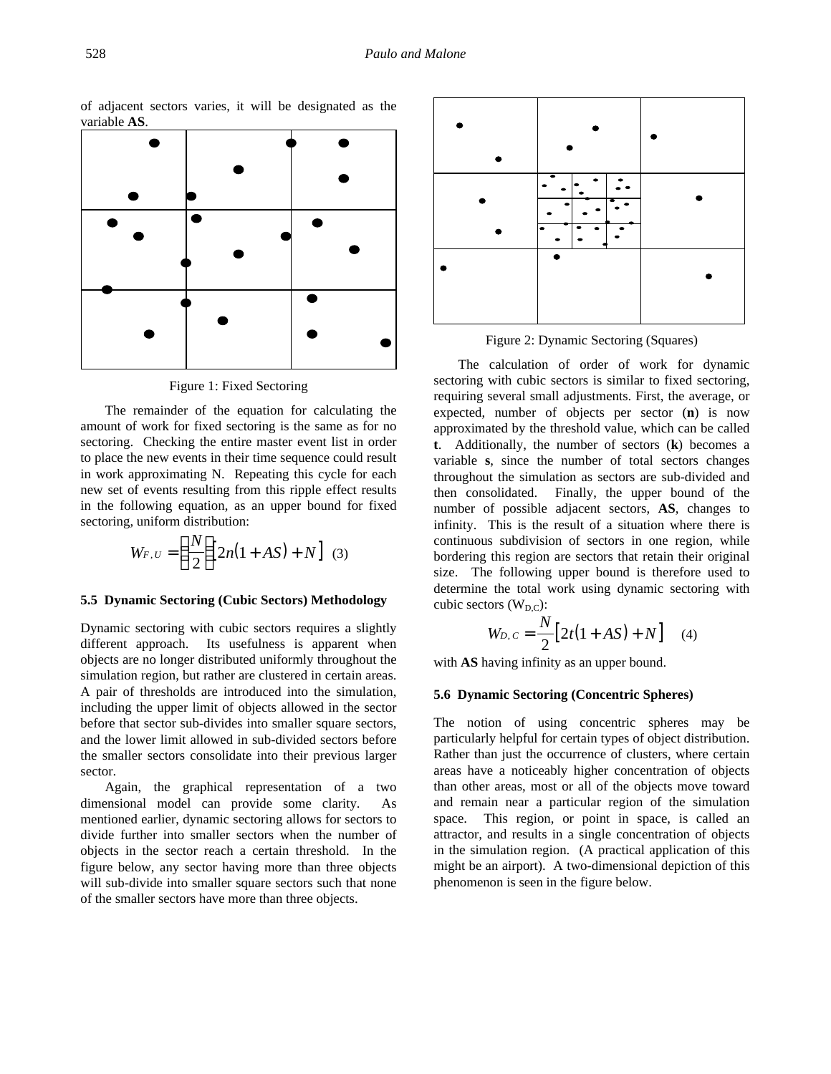

of adjacent sectors varies, it will be designated as the variable **AS**.

Figure 1: Fixed Sectoring

The remainder of the equation for calculating the amount of work for fixed sectoring is the same as for no sectoring. Checking the entire master event list in order to place the new events in their time sequence could result in work approximating N. Repeating this cycle for each new set of events resulting from this ripple effect results in the following equation, as an upper bound for fixed sectoring, uniform distribution:

$$
W_{F,U} = \left(\frac{N}{2}\right) \left[2n(1+AS) + N\right] \tag{3}
$$

#### **5.5 Dynamic Sectoring (Cubic Sectors) Methodology**

Dynamic sectoring with cubic sectors requires a slightly different approach. Its usefulness is apparent when objects are no longer distributed uniformly throughout the simulation region, but rather are clustered in certain areas. A pair of thresholds are introduced into the simulation, including the upper limit of objects allowed in the sector before that sector sub-divides into smaller square sectors, and the lower limit allowed in sub-divided sectors before the smaller sectors consolidate into their previous larger sector.

Again, the graphical representation of a two dimensional model can provide some clarity. As mentioned earlier, dynamic sectoring allows for sectors to divide further into smaller sectors when the number of objects in the sector reach a certain threshold. In the figure below, any sector having more than three objects will sub-divide into smaller square sectors such that none of the smaller sectors have more than three objects.



Figure 2: Dynamic Sectoring (Squares)

The calculation of order of work for dynamic sectoring with cubic sectors is similar to fixed sectoring, requiring several small adjustments. First, the average, or expected, number of objects per sector (**n**) is now approximated by the threshold value, which can be called **t**. Additionally, the number of sectors (**k**) becomes a variable **s**, since the number of total sectors changes throughout the simulation as sectors are sub-divided and then consolidated. Finally, the upper bound of the number of possible adjacent sectors, **AS**, changes to infinity. This is the result of a situation where there is continuous subdivision of sectors in one region, while bordering this region are sectors that retain their original size. The following upper bound is therefore used to determine the total work using dynamic sectoring with cubic sectors  $(W_{D,C})$ :

$$
W_{D,C} = \frac{N}{2} [2t(1+AS) + N] \quad (4)
$$

with **AS** having infinity as an upper bound.

### **5.6 Dynamic Sectoring (Concentric Spheres)**

The notion of using concentric spheres may be particularly helpful for certain types of object distribution. Rather than just the occurrence of clusters, where certain areas have a noticeably higher concentration of objects than other areas, most or all of the objects move toward and remain near a particular region of the simulation space. This region, or point in space, is called an attractor, and results in a single concentration of objects in the simulation region. (A practical application of this might be an airport). A two-dimensional depiction of this phenomenon is seen in the figure below.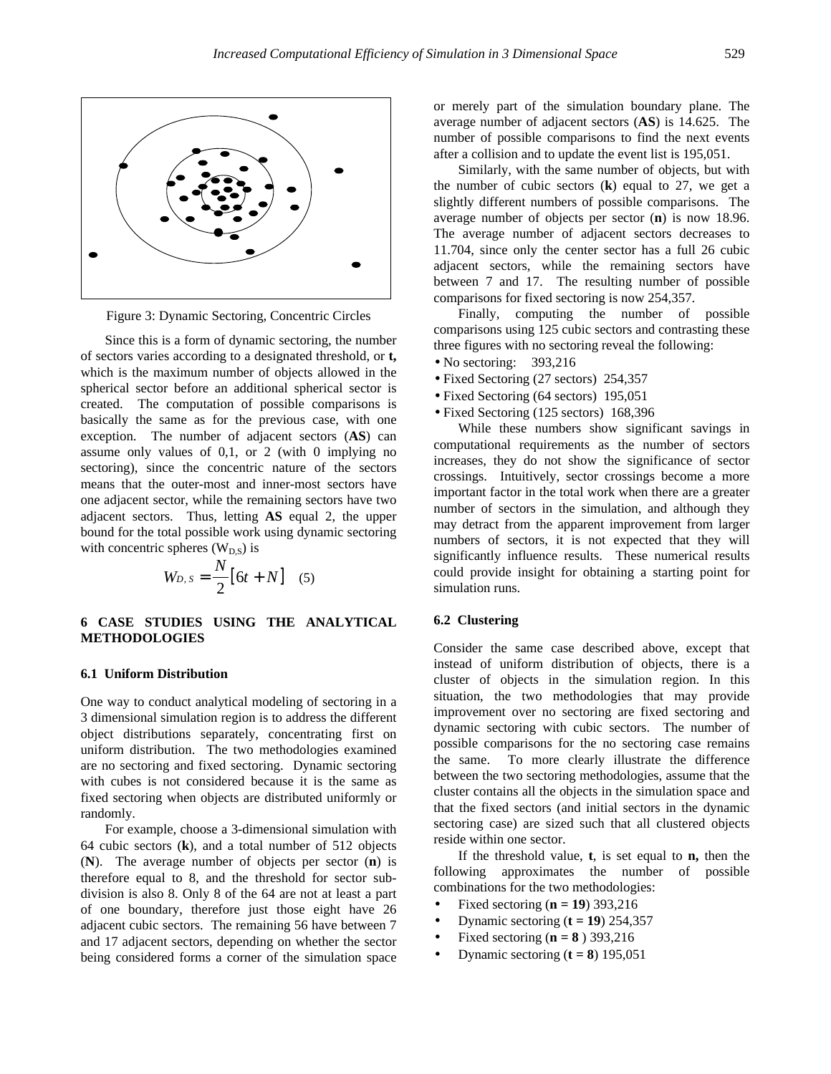

Figure 3: Dynamic Sectoring, Concentric Circles

Since this is a form of dynamic sectoring, the number of sectors varies according to a designated threshold, or **t,** which is the maximum number of objects allowed in the spherical sector before an additional spherical sector is created. The computation of possible comparisons is basically the same as for the previous case, with one exception. The number of adjacent sectors (**AS**) can assume only values of 0,1, or 2 (with 0 implying no sectoring), since the concentric nature of the sectors means that the outer-most and inner-most sectors have one adjacent sector, while the remaining sectors have two adjacent sectors. Thus, letting **AS** equal 2, the upper bound for the total possible work using dynamic sectoring with concentric spheres  $(W_{D,S})$  is

$$
W_{D, S} = \frac{N}{2} [6t + N] \quad (5)
$$

# **6 CASE STUDIES USING THE ANALYTICAL METHODOLOGIES**

## **6.1 Uniform Distribution**

One way to conduct analytical modeling of sectoring in a 3 dimensional simulation region is to address the different object distributions separately, concentrating first on uniform distribution. The two methodologies examined are no sectoring and fixed sectoring. Dynamic sectoring with cubes is not considered because it is the same as fixed sectoring when objects are distributed uniformly or randomly.

For example, choose a 3-dimensional simulation with 64 cubic sectors (**k**), and a total number of 512 objects (**N**). The average number of objects per sector (**n**) is therefore equal to 8, and the threshold for sector subdivision is also 8. Only 8 of the 64 are not at least a part of one boundary, therefore just those eight have 26 adjacent cubic sectors. The remaining 56 have between 7 and 17 adjacent sectors, depending on whether the sector being considered forms a corner of the simulation space

or merely part of the simulation boundary plane. The average number of adjacent sectors (**AS**) is 14.625. The number of possible comparisons to find the next events after a collision and to update the event list is 195,051.

Similarly, with the same number of objects, but with the number of cubic sectors (**k**) equal to 27, we get a slightly different numbers of possible comparisons. The average number of objects per sector (**n**) is now 18.96. The average number of adjacent sectors decreases to 11.704, since only the center sector has a full 26 cubic adjacent sectors, while the remaining sectors have between 7 and 17. The resulting number of possible comparisons for fixed sectoring is now 254,357.

Finally, computing the number of possible comparisons using 125 cubic sectors and contrasting these three figures with no sectoring reveal the following:

- No sectoring: 393,216
- Fixed Sectoring (27 sectors) 254,357
- Fixed Sectoring (64 sectors) 195,051
- Fixed Sectoring (125 sectors) 168,396

While these numbers show significant savings in computational requirements as the number of sectors increases, they do not show the significance of sector crossings. Intuitively, sector crossings become a more important factor in the total work when there are a greater number of sectors in the simulation, and although they may detract from the apparent improvement from larger numbers of sectors, it is not expected that they will significantly influence results. These numerical results could provide insight for obtaining a starting point for simulation runs.

## **6.2 Clustering**

Consider the same case described above, except that instead of uniform distribution of objects, there is a cluster of objects in the simulation region. In this situation, the two methodologies that may provide improvement over no sectoring are fixed sectoring and dynamic sectoring with cubic sectors. The number of possible comparisons for the no sectoring case remains the same. To more clearly illustrate the difference between the two sectoring methodologies, assume that the cluster contains all the objects in the simulation space and that the fixed sectors (and initial sectors in the dynamic sectoring case) are sized such that all clustered objects reside within one sector.

If the threshold value, **t**, is set equal to **n,** then the following approximates the number of possible combinations for the two methodologies:

- Fixed sectoring (**n = 19**) 393,216
- Dynamic sectoring  $(t = 19)$  254,357
- Fixed sectoring  $(n = 8)$  393,216
- Dynamic sectoring  $(t = 8)$  195,051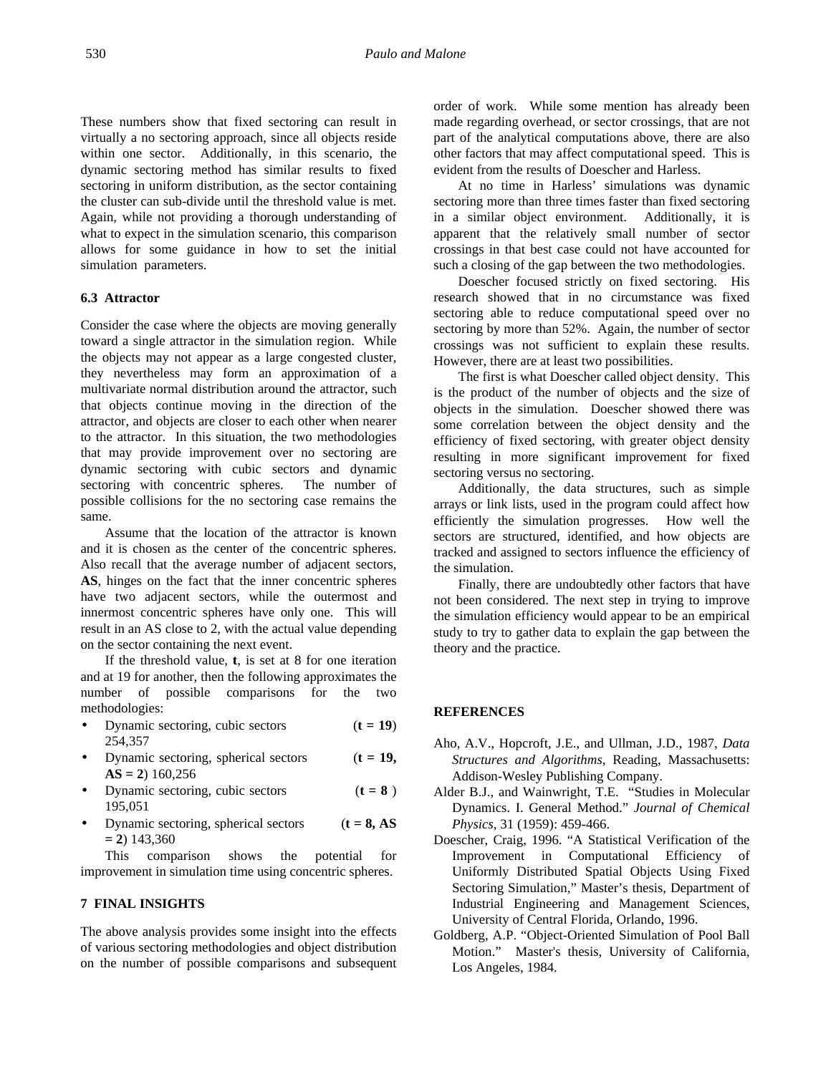These numbers show that fixed sectoring can result in virtually a no sectoring approach, since all objects reside within one sector. Additionally, in this scenario, the dynamic sectoring method has similar results to fixed sectoring in uniform distribution, as the sector containing the cluster can sub-divide until the threshold value is met. Again, while not providing a thorough understanding of what to expect in the simulation scenario, this comparison allows for some guidance in how to set the initial simulation parameters.

# **6.3 Attractor**

Consider the case where the objects are moving generally toward a single attractor in the simulation region. While the objects may not appear as a large congested cluster, they nevertheless may form an approximation of a multivariate normal distribution around the attractor, such that objects continue moving in the direction of the attractor, and objects are closer to each other when nearer to the attractor. In this situation, the two methodologies that may provide improvement over no sectoring are dynamic sectoring with cubic sectors and dynamic sectoring with concentric spheres. The number of possible collisions for the no sectoring case remains the same.

Assume that the location of the attractor is known and it is chosen as the center of the concentric spheres. Also recall that the average number of adjacent sectors, **AS**, hinges on the fact that the inner concentric spheres have two adjacent sectors, while the outermost and innermost concentric spheres have only one. This will result in an AS close to 2, with the actual value depending on the sector containing the next event.

If the threshold value, **t**, is set at 8 for one iteration and at 19 for another, then the following approximates the number of possible comparisons for the two methodologies:

- Dynamic sectoring, cubic sectors (**t = 19**) 254,357
- Dynamic sectoring, spherical sectors (**t = 19, AS = 2**) 160,256
- **Dynamic sectoring, cubic sectors**  $(t = 8)$ 195,051
- Dynamic sectoring, spherical sectors (**t = 8, AS = 2**) 143,360

This comparison shows the potential for improvement in simulation time using concentric spheres.

# **7 FINAL INSIGHTS**

The above analysis provides some insight into the effects of various sectoring methodologies and object distribution on the number of possible comparisons and subsequent order of work. While some mention has already been made regarding overhead, or sector crossings, that are not part of the analytical computations above, there are also other factors that may affect computational speed. This is evident from the results of Doescher and Harless.

At no time in Harless' simulations was dynamic sectoring more than three times faster than fixed sectoring in a similar object environment. Additionally, it is apparent that the relatively small number of sector crossings in that best case could not have accounted for such a closing of the gap between the two methodologies.

Doescher focused strictly on fixed sectoring. His research showed that in no circumstance was fixed sectoring able to reduce computational speed over no sectoring by more than 52%. Again, the number of sector crossings was not sufficient to explain these results. However, there are at least two possibilities.

The first is what Doescher called object density. This is the product of the number of objects and the size of objects in the simulation. Doescher showed there was some correlation between the object density and the efficiency of fixed sectoring, with greater object density resulting in more significant improvement for fixed sectoring versus no sectoring.

Additionally, the data structures, such as simple arrays or link lists, used in the program could affect how efficiently the simulation progresses. How well the sectors are structured, identified, and how objects are tracked and assigned to sectors influence the efficiency of the simulation.

Finally, there are undoubtedly other factors that have not been considered. The next step in trying to improve the simulation efficiency would appear to be an empirical study to try to gather data to explain the gap between the theory and the practice.

#### **REFERENCES**

- Aho, A.V., Hopcroft, J.E., and Ullman, J.D., 1987, *Data Structures and Algorithms*, Reading, Massachusetts: Addison-Wesley Publishing Company.
- Alder B.J., and Wainwright, T.E. "Studies in Molecular Dynamics. I. General Method." *Journal of Chemical Physics*, 31 (1959): 459-466.
- Doescher, Craig, 1996. "A Statistical Verification of the Improvement in Computational Efficiency of Uniformly Distributed Spatial Objects Using Fixed Sectoring Simulation," Master's thesis, Department of Industrial Engineering and Management Sciences, University of Central Florida, Orlando, 1996.
- Goldberg, A.P. "Object-Oriented Simulation of Pool Ball Motion." Master's thesis, University of California, Los Angeles, 1984.